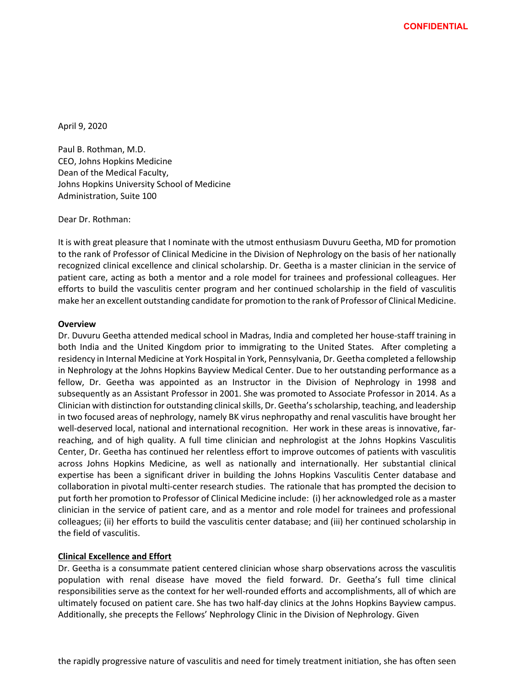April 9, 2020

Paul B. Rothman, M.D. CEO, Johns Hopkins Medicine Dean of the Medical Faculty, Johns Hopkins University School of Medicine Administration, Suite 100

Dear Dr. Rothman:

It is with great pleasure that I nominate with the utmost enthusiasm Duvuru Geetha, MD for promotion to the rank of Professor of Clinical Medicine in the Division of Nephrology on the basis of her nationally recognized clinical excellence and clinical scholarship. Dr. Geetha is a master clinician in the service of patient care, acting as both a mentor and a role model for trainees and professional colleagues. Her efforts to build the vasculitis center program and her continued scholarship in the field of vasculitis make her an excellent outstanding candidate for promotion to the rank of Professor of Clinical Medicine.

## **Overview**

Dr. Duvuru Geetha attended medical school in Madras, India and completed her house-staff training in both India and the United Kingdom prior to immigrating to the United States. After completing a residency in Internal Medicine at York Hospital in York, Pennsylvania, Dr. Geetha completed a fellowship in Nephrology at the Johns Hopkins Bayview Medical Center. Due to her outstanding performance as a fellow, Dr. Geetha was appointed as an Instructor in the Division of Nephrology in 1998 and subsequently as an Assistant Professor in 2001. She was promoted to Associate Professor in 2014. As a Clinician with distinction for outstanding clinical skills, Dr. Geetha's scholarship, teaching, and leadership in two focused areas of nephrology, namely BK virus nephropathy and renal vasculitis have brought her well-deserved local, national and international recognition. Her work in these areas is innovative, farreaching, and of high quality. A full time clinician and nephrologist at the Johns Hopkins Vasculitis Center, Dr. Geetha has continued her relentless effort to improve outcomes of patients with vasculitis across Johns Hopkins Medicine, as well as nationally and internationally. Her substantial clinical expertise has been a significant driver in building the Johns Hopkins Vasculitis Center database and collaboration in pivotal multi-center research studies. The rationale that has prompted the decision to put forth her promotion to Professor of Clinical Medicine include: (i) her acknowledged role as a master clinician in the service of patient care, and as a mentor and role model for trainees and professional colleagues; (ii) her efforts to build the vasculitis center database; and (iii) her continued scholarship in the field of vasculitis.

# **Clinical Excellence and Effort**

Dr. Geetha is a consummate patient centered clinician whose sharp observations across the vasculitis population with renal disease have moved the field forward. Dr. Geetha's full time clinical responsibilities serve as the context for her well-rounded efforts and accomplishments, all of which are ultimately focused on patient care. She has two half-day clinics at the Johns Hopkins Bayview campus. Additionally, she precepts the Fellows' Nephrology Clinic in the Division of Nephrology. Given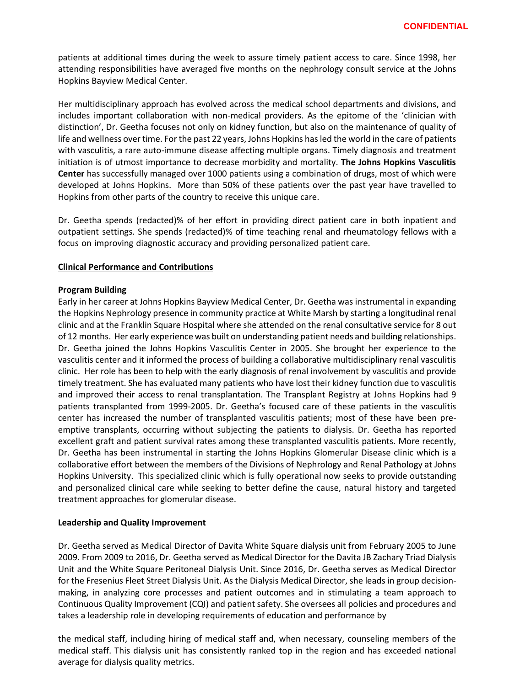patients at additional times during the week to assure timely patient access to care. Since 1998, her attending responsibilities have averaged five months on the nephrology consult service at the Johns Hopkins Bayview Medical Center.

Her multidisciplinary approach has evolved across the medical school departments and divisions, and includes important collaboration with non-medical providers. As the epitome of the 'clinician with distinction', Dr. Geetha focuses not only on kidney function, but also on the maintenance of quality of life and wellness over time. For the past 22 years, Johns Hopkins has led the world in the care of patients with vasculitis, a rare auto-immune disease affecting multiple organs. Timely diagnosis and treatment initiation is of utmost importance to decrease morbidity and mortality. **The Johns Hopkins Vasculitis Center** has successfully managed over 1000 patients using a combination of drugs, most of which were developed at Johns Hopkins. More than 50% of these patients over the past year have travelled to Hopkins from other parts of the country to receive this unique care.

Dr. Geetha spends (redacted)% of her effort in providing direct patient care in both inpatient and outpatient settings. She spends (redacted)% of time teaching renal and rheumatology fellows with a focus on improving diagnostic accuracy and providing personalized patient care.

## **Clinical Performance and Contributions**

## **Program Building**

Early in her career at Johns Hopkins Bayview Medical Center, Dr. Geetha was instrumental in expanding the Hopkins Nephrology presence in community practice at White Marsh by starting a longitudinal renal clinic and at the Franklin Square Hospital where she attended on the renal consultative service for 8 out of 12 months. Her early experience was built on understanding patient needs and building relationships. Dr. Geetha joined the Johns Hopkins Vasculitis Center in 2005. She brought her experience to the vasculitis center and it informed the process of building a collaborative multidisciplinary renal vasculitis clinic. Her role has been to help with the early diagnosis of renal involvement by vasculitis and provide timely treatment. She has evaluated many patients who have lost their kidney function due to vasculitis and improved their access to renal transplantation. The Transplant Registry at Johns Hopkins had 9 patients transplanted from 1999-2005. Dr. Geetha's focused care of these patients in the vasculitis center has increased the number of transplanted vasculitis patients; most of these have been preemptive transplants, occurring without subjecting the patients to dialysis. Dr. Geetha has reported excellent graft and patient survival rates among these transplanted vasculitis patients. More recently, Dr. Geetha has been instrumental in starting the Johns Hopkins Glomerular Disease clinic which is a collaborative effort between the members of the Divisions of Nephrology and Renal Pathology at Johns Hopkins University. This specialized clinic which is fully operational now seeks to provide outstanding and personalized clinical care while seeking to better define the cause, natural history and targeted treatment approaches for glomerular disease.

## **Leadership and Quality Improvement**

Dr. Geetha served as Medical Director of Davita White Square dialysis unit from February 2005 to June 2009. From 2009 to 2016, Dr. Geetha served as Medical Director for the Davita JB Zachary Triad Dialysis Unit and the White Square Peritoneal Dialysis Unit. Since 2016, Dr. Geetha serves as Medical Director for the Fresenius Fleet Street Dialysis Unit. As the Dialysis Medical Director, she leads in group decisionmaking, in analyzing core processes and patient outcomes and in stimulating a team approach to Continuous Quality Improvement (CQI) and patient safety. She oversees all policies and procedures and takes a leadership role in developing requirements of education and performance by

the medical staff, including hiring of medical staff and, when necessary, counseling members of the medical staff. This dialysis unit has consistently ranked top in the region and has exceeded national average for dialysis quality metrics.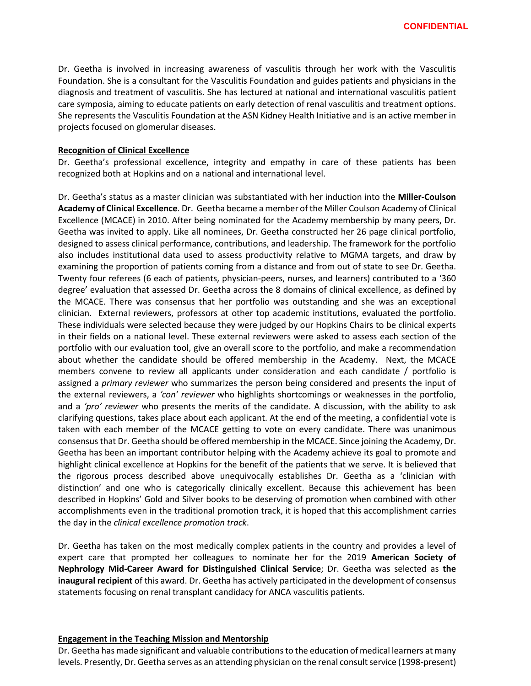Dr. Geetha is involved in increasing awareness of vasculitis through her work with the Vasculitis Foundation. She is a consultant for the Vasculitis Foundation and guides patients and physicians in the diagnosis and treatment of vasculitis. She has lectured at national and international vasculitis patient care symposia, aiming to educate patients on early detection of renal vasculitis and treatment options. She represents the Vasculitis Foundation at the ASN Kidney Health Initiative and is an active member in projects focused on glomerular diseases.

#### **Recognition of Clinical Excellence**

Dr. Geetha's professional excellence, integrity and empathy in care of these patients has been recognized both at Hopkins and on a national and international level.

Dr. Geetha's status as a master clinician was substantiated with her induction into the **Miller-Coulson Academy of Clinical Excellence**. Dr. Geetha became a member of the Miller Coulson Academy of Clinical Excellence (MCACE) in 2010. After being nominated for the Academy membership by many peers, Dr. Geetha was invited to apply. Like all nominees, Dr. Geetha constructed her 26 page clinical portfolio, designed to assess clinical performance, contributions, and leadership. The framework for the portfolio also includes institutional data used to assess productivity relative to MGMA targets, and draw by examining the proportion of patients coming from a distance and from out of state to see Dr. Geetha. Twenty four referees (6 each of patients, physician-peers, nurses, and learners) contributed to a '360 degree' evaluation that assessed Dr. Geetha across the 8 domains of clinical excellence, as defined by the MCACE. There was consensus that her portfolio was outstanding and she was an exceptional clinician. External reviewers, professors at other top academic institutions, evaluated the portfolio. These individuals were selected because they were judged by our Hopkins Chairs to be clinical experts in their fields on a national level. These external reviewers were asked to assess each section of the portfolio with our evaluation tool, give an overall score to the portfolio, and make a recommendation about whether the candidate should be offered membership in the Academy. Next, the MCACE members convene to review all applicants under consideration and each candidate / portfolio is assigned a *primary reviewer* who summarizes the person being considered and presents the input of the external reviewers, a *'con' reviewer* who highlights shortcomings or weaknesses in the portfolio, and a *'pro' reviewer* who presents the merits of the candidate. A discussion, with the ability to ask clarifying questions, takes place about each applicant. At the end of the meeting, a confidential vote is taken with each member of the MCACE getting to vote on every candidate. There was unanimous consensus that Dr. Geetha should be offered membership in the MCACE. Since joining the Academy, Dr. Geetha has been an important contributor helping with the Academy achieve its goal to promote and highlight clinical excellence at Hopkins for the benefit of the patients that we serve. It is believed that the rigorous process described above unequivocally establishes Dr. Geetha as a 'clinician with distinction' and one who is categorically clinically excellent. Because this achievement has been described in Hopkins' Gold and Silver books to be deserving of promotion when combined with other accomplishments even in the traditional promotion track, it is hoped that this accomplishment carries the day in the *clinical excellence promotion track*.

Dr. Geetha has taken on the most medically complex patients in the country and provides a level of expert care that prompted her colleagues to nominate her for the 2019 **American Society of Nephrology Mid-Career Award for Distinguished Clinical Service**; Dr. Geetha was selected as **the inaugural recipient** of this award. Dr. Geetha has actively participated in the development of consensus statements focusing on renal transplant candidacy for ANCA vasculitis patients.

#### **Engagement in the Teaching Mission and Mentorship**

Dr. Geetha has made significant and valuable contributions to the education of medical learners at many levels. Presently, Dr. Geetha serves as an attending physician on the renal consult service (1998-present)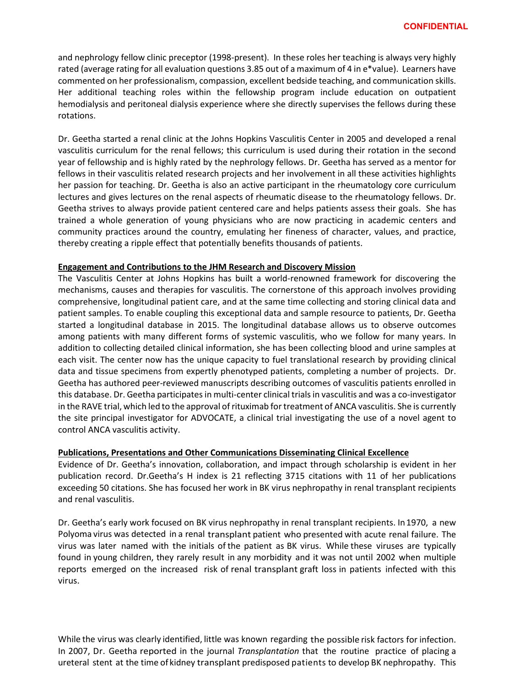and nephrology fellow clinic preceptor (1998-present). In these roles her teaching is always very highly rated (average rating for all evaluation questions 3.85 out of a maximum of 4 in e\*value). Learners have commented on her professionalism, compassion, excellent bedside teaching, and communication skills. Her additional teaching roles within the fellowship program include education on outpatient hemodialysis and peritoneal dialysis experience where she directly supervises the fellows during these rotations.

Dr. Geetha started a renal clinic at the Johns Hopkins Vasculitis Center in 2005 and developed a renal vasculitis curriculum for the renal fellows; this curriculum is used during their rotation in the second year of fellowship and is highly rated by the nephrology fellows. Dr. Geetha has served as a mentor for fellows in their vasculitis related research projects and her involvement in all these activities highlights her passion for teaching. Dr. Geetha is also an active participant in the rheumatology core curriculum lectures and gives lectures on the renal aspects of rheumatic disease to the rheumatology fellows. Dr. Geetha strives to always provide patient centered care and helps patients assess their goals. She has trained a whole generation of young physicians who are now practicing in academic centers and community practices around the country, emulating her fineness of character, values, and practice, thereby creating a ripple effect that potentially benefits thousands of patients.

## **Engagement and Contributions to the JHM Research and Discovery Mission**

The Vasculitis Center at Johns Hopkins has built a world-renowned framework for discovering the mechanisms, causes and therapies for vasculitis. The cornerstone of this approach involves providing comprehensive, longitudinal patient care, and at the same time collecting and storing clinical data and patient samples. To enable coupling this exceptional data and sample resource to patients, Dr. Geetha started a longitudinal database in 2015. The longitudinal database allows us to observe outcomes among patients with many different forms of systemic vasculitis, who we follow for many years. In addition to collecting detailed clinical information, she has been collecting blood and urine samples at each visit. The center now has the unique capacity to fuel translational research by providing clinical data and tissue specimens from expertly phenotyped patients, completing a number of projects. Dr. Geetha has authored peer-reviewed manuscripts describing outcomes of vasculitis patients enrolled in this database. Dr. Geetha participates in multi-center clinical trials in vasculitis and was a co-investigator in the RAVE trial, which led to the approval of rituximab for treatment of ANCA vasculitis. She is currently the site principal investigator for ADVOCATE, a clinical trial investigating the use of a novel agent to control ANCA vasculitis activity.

# **Publications, Presentations and Other Communications Disseminating Clinical Excellence**

Evidence of Dr. Geetha's innovation, collaboration, and impact through scholarship is evident in her publication record. Dr.Geetha's H index is 21 reflecting 3715 citations with 11 of her publications exceeding 50 citations. She has focused her work in BK virus nephropathy in renal transplant recipients and renal vasculitis.

Dr. Geetha's early work focused on BK virus nephropathy in renal transplant recipients. In1970, a new Polyoma virus was detected in a renal transplant patient who presented with acute renal failure. The virus was later named with the initials of the patient as BK virus. While these viruses are typically found in young children, they rarely result in any morbidity and it was not until 2002 when multiple reports emerged on the increased risk of renal transplant graft loss in patients infected with this virus.

While the virus was clearly identified, little was known regarding the possible risk factors for infection. In 2007, Dr. Geetha reported in the journal *Transplantation* that the routine practice of placing a ureteral stent at the time of kidney transplant predisposed patients to develop BK nephropathy. This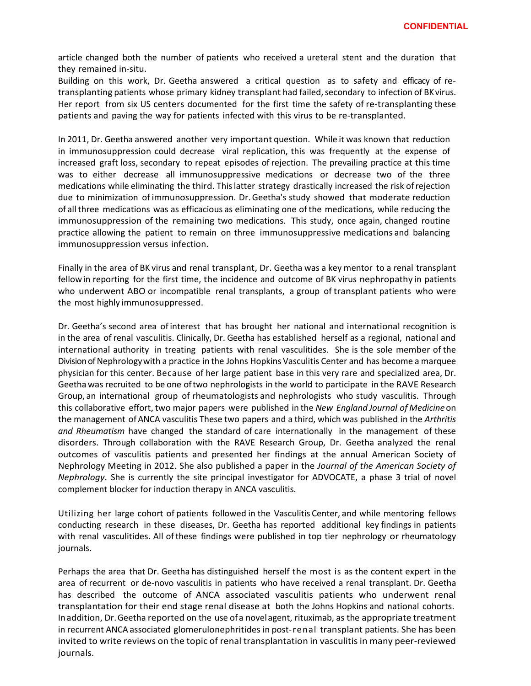article changed both the number of patients who received a ureteral stent and the duration that they remained in-situ.

Building on this work, Dr. Geetha answered a critical question as to safety and efficacy of retransplanting patients whose primary kidney transplant had failed, secondary to infection of BK virus. Her report from six US centers documented for the first time the safety of re-transplanting these patients and paving the way for patients infected with this virus to be re-transplanted.

In 2011, Dr. Geetha answered another very important question. While it was known that reduction in immunosuppression could decrease viral replication, this was frequently at the expense of increased graft loss, secondary to repeat episodes of rejection. The prevailing practice at this time was to either decrease all immunosuppressive medications or decrease two of the three medications while eliminating the third. Thislatter strategy drastically increased the risk ofrejection due to minimization of immunosuppression. Dr.Geetha's study showed that moderate reduction of all three medications was as efficacious as eliminating one ofthe medications, while reducing the immunosuppression of the remaining two medications. This study, once again, changed routine practice allowing the patient to remain on three immunosuppressive medications and balancing immunosuppression versus infection.

Finally in the area of BK virus and renal transplant, Dr. Geetha was a key mentor to a renal transplant fellowin reporting for the first time, the incidence and outcome of BK virus nephropathy in patients who underwent ABO or incompatible renal transplants, a group of transplant patients who were the most highly immunosuppressed.

Dr. Geetha's second area of interest that has brought her national and international recognition is in the area ofrenal vasculitis. Clinically, Dr. Geetha has established herself as a regional, national and international authority in treating patients with renal vasculitides. She is the sole member of the Division of Nephrologywith a practice in the Johns Hopkins Vasculitis Center and has become a marquee physician for this center. Because of her large patient base in this very rare and specialized area, Dr. Geethawas recruited to be one oftwo nephrologists in the world to participate in the RAVE Research Group, an international group of rheumatologists and nephrologists who study vasculitis. Through this collaborative effort, two major papers were published in the *New England Journal of Medicine*on the management of ANCA vasculitis These two papers and a third, which was published in the *Arthritis and Rheumatism* have changed the standard of care internationally in the management of these disorders. Through collaboration with the RAVE Research Group, Dr. Geetha analyzed the renal outcomes of vasculitis patients and presented her findings at the annual American Society of Nephrology Meeting in 2012. She also published a paper in the *Journal of the American Society of Nephrology*. She is currently the site principal investigator for ADVOCATE, a phase 3 trial of novel complement blocker for induction therapy in ANCA vasculitis.

Utilizing her large cohort of patients followed in the Vasculitis Center, and while mentoring fellows conducting research in these diseases, Dr. Geetha has reported additional key findings in patients with renal vasculitides. All of these findings were published in top tier nephrology or rheumatology journals.

Perhaps the area that Dr. Geetha has distinguished herself the most is as the content expert in the area of recurrent or de-novo vasculitis in patients who have received a renal transplant. Dr. Geetha has described the outcome of ANCA associated vasculitis patients who underwent renal transplantation for their end stage renal disease at both the Johns Hopkins and national cohorts. Inaddition, Dr.Geetha reported on the use of a novelagent, rituximab, as the appropriate treatment in recurrent ANCA associated glomerulonephritides in post-renal transplant patients. She has been invited to write reviews on the topic of renal transplantation in vasculitis in many peer-reviewed journals.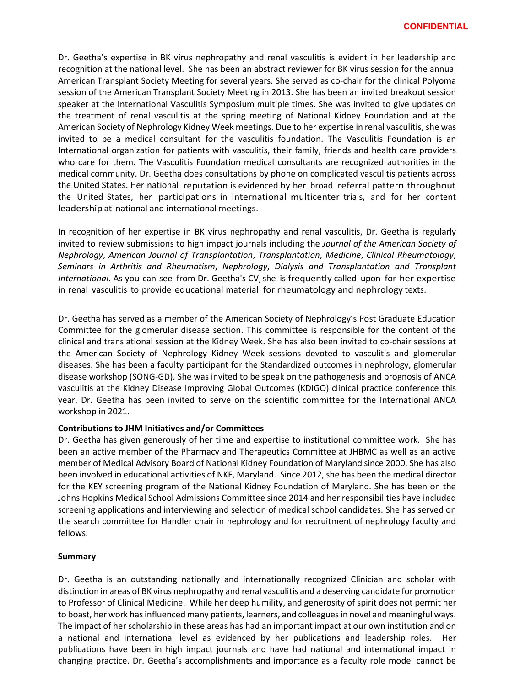Dr. Geetha's expertise in BK virus nephropathy and renal vasculitis is evident in her leadership and recognition at the national level. She has been an abstract reviewer for BK virus session for the annual American Transplant Society Meeting for several years. She served as co-chair for the clinical Polyoma session of the American Transplant Society Meeting in 2013. She has been an invited breakout session speaker at the International Vasculitis Symposium multiple times. She was invited to give updates on the treatment of renal vasculitis at the spring meeting of National Kidney Foundation and at the American Society of Nephrology Kidney Week meetings. Due to her expertise in renal vasculitis, she was invited to be a medical consultant for the vasculitis foundation. The Vasculitis Foundation is an International organization for patients with vasculitis, their family, friends and health care providers who care for them. The Vasculitis Foundation medical consultants are recognized authorities in the medical community. Dr. Geetha does consultations by phone on complicated vasculitis patients across the United States. Her national reputation is evidenced by her broad referral pattern throughout the United States, her participations in international multicenter trials, and for her content leadership at national and international meetings.

In recognition of her expertise in BK virus nephropathy and renal vasculitis, Dr. Geetha is regularly invited to review submissions to high impact journals including the *Journal of the American Society of Nephrology*, *American Journal of Transplantation*, *Transplantation*, *Medicine*, *Clinical Rheumatology*, *Seminars in Arthritis and Rheumatism*, *Nephrology*, *Dialysis and Transplantation and Transplant International*. As you can see from Dr. Geetha's CV,she is frequently called upon for her expertise in renal vasculitis to provide educational material for rheumatology and nephrology texts.

Dr. Geetha has served as a member of the American Society of Nephrology's Post Graduate Education Committee for the glomerular disease section. This committee is responsible for the content of the clinical and translational session at the Kidney Week. She has also been invited to co-chair sessions at the American Society of Nephrology Kidney Week sessions devoted to vasculitis and glomerular diseases. She has been a faculty participant for the Standardized outcomes in nephrology, glomerular disease workshop (SONG-GD). She was invited to be speak on the pathogenesis and prognosis of ANCA vasculitis at the Kidney Disease Improving Global Outcomes (KDIGO) clinical practice conference this year. Dr. Geetha has been invited to serve on the scientific committee for the International ANCA workshop in 2021.

## **Contributions to JHM Initiatives and/or Committees**

Dr. Geetha has given generously of her time and expertise to institutional committee work. She has been an active member of the Pharmacy and Therapeutics Committee at JHBMC as well as an active member of Medical Advisory Board of National Kidney Foundation of Maryland since 2000. She has also been involved in educational activities of NKF, Maryland. Since 2012, she has been the medical director for the KEY screening program of the National Kidney Foundation of Maryland. She has been on the Johns Hopkins Medical School Admissions Committee since 2014 and her responsibilities have included screening applications and interviewing and selection of medical school candidates. She has served on the search committee for Handler chair in nephrology and for recruitment of nephrology faculty and fellows.

## **Summary**

Dr. Geetha is an outstanding nationally and internationally recognized Clinician and scholar with distinction in areas of BK virus nephropathy and renal vasculitis and a deserving candidate for promotion to Professor of Clinical Medicine. While her deep humility, and generosity of spirit does not permit her to boast, her work has influenced many patients, learners, and colleagues in novel and meaningful ways. The impact of her scholarship in these areas has had an important impact at our own institution and on a national and international level as evidenced by her publications and leadership roles. Her publications have been in high impact journals and have had national and international impact in changing practice. Dr. Geetha's accomplishments and importance as a faculty role model cannot be